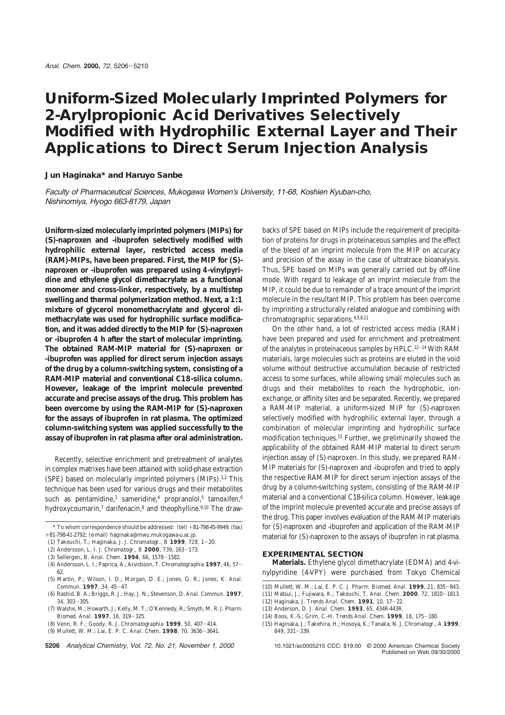# **Uniform-Sized Molecularly Imprinted Polymers for 2-Arylpropionic Acid Derivatives Selectively Modified with Hydrophilic External Layer and Their Applications to Direct Serum Injection Analysis**

## **Jun Haginaka\* and Haruyo Sanbe**

Faculty of Pharmaceutical Sciences, Mukogawa Women's University, 11-68, Koshien Kyuban-cho, Nishinomiya, Hyogo 663-8179, Japan

**Uniform-sized molecularly imprinted polymers (MIPs) for (***S***)-naproxen and -ibuprofen selectively modified with hydrophilic external layer, restricted access media (RAM)-MIPs, have been prepared. First, the MIP for (***S***) naproxen or -ibuprofen was prepared using 4-vinylpyridine and ethylene glycol dimethacrylate as a functional monomer and cross-linker, respectively, by a multistep swelling and thermal polymerization method. Next, a 1:1 mixture of glycerol monomethacrylate and glycerol dimethacrylate was used for hydrophilic surface modification, and it was added directly to the MIP for (***S***)-naproxen or -ibuprofen 4 h after the start of molecular imprinting. The obtained RAM-MIP material for (***S***)-naproxen or -ibuprofen was applied for direct serum injection assays of the drug by a column-switching system, consisting of a RAM-MIP material and conventional C18-silica column. However, leakage of the imprint molecule prevented accurate and precise assays of the drug. This problem has been overcome by using the RAM-MIP for (***S***)-naproxen for the assays of ibuprofen in rat plasma. The optimized column-switching system was applied successfully to the assay of ibuprofen in rat plasma after oral administration.**

Recently, selective enrichment and pretreatment of analytes in complex matrixes have been attained with solid-phase extraction (SPE) based on molecularly imprinted polymers (MIPs).<sup>1,2</sup> This technique has been used for various drugs and their metabolites such as pentamidine,<sup>3</sup> sameridine,<sup>4</sup> propranolol,<sup>5</sup> tamoxifen,<sup>6</sup> hydroxycoumarin,<sup>7</sup> darifenacin,<sup>8</sup> and theophylline.<sup>9,10</sup> The draw-

- (3) Sellergen, B. *Anal. Chem.* **1994**, *66*, 1578-1582.
- (4) Andersson, L. I.; Paprica, A.; Arvidsson, T. *Chromatographia* **1997**, *46*, 57- 62.
- (5) Martin, P.; Wilson, I. D.; Morgan, D. E.; Jones, G. R.; Jones, K. *Anal. Commun.* **1997**, *34*, 45-47.
- (6) Rashid, B. A.; Briggs, R. J.; Hay, J. N.; Stevenson, D. *Anal. Commun.* **1997**, *34*, 303-305.
- (7) Walshe, M.; Howarth, J.; Kelly, M. T.; O'Kennedy, R.; Smyth, M. R. *J. Pharm. Biomed. Anal.* **1997**, *16*, 319-325.
- (8) Venn, R. F.; Goody, R. J. *Chromatographia* **1999**, *50*, 407-414.
- (9) Mullett, W. M.; Lai, E. P. C. *Anal. Chem.* **1998**, *70*, 3636-3641.
- **5206** Analytical Chemistry, Vol. 72, No. 21, November 1, 2000 10.1021/ac0005215 CCC: \$19.00 © 2000 American Chemical Society

backs of SPE based on MIPs include the requirement of precipitation of proteins for drugs in proteinaceous samples and the effect of the bleed of an imprint molecule from the MIP on accuracy and precision of the assay in the case of ultratrace bioanalysis. Thus, SPE based on MIPs was generally carried out by off-line mode. With regard to leakage of an imprint molecule from the MIP, it could be due to remainder of a trace amount of the imprint molecule in the resultant MIP. This problem has been overcome by imprinting a structurally related analogue and combining with chromatographic separations.4,5,8,11

On the other hand, a lot of restricted access media (RAM) have been prepared and used for enrichment and pretreatment of the analytes in proteinaceous samples by HPLC.12-<sup>14</sup> With RAM materials, large molecules such as proteins are eluted in the void volume without destructive accumulation because of restricted access to some surfaces, while allowing small molecules such as drugs and their metabolites to reach the hydrophobic, ionexchange, or affinity sites and be separated. Recently, we prepared a RAM-MIP material, a uniform-sized MIP for (*S*)-naproxen selectively modified with hydrophilic external layer, through a combination of molecular imprinting and hydrophilic surface modification techniques.15 Further, we preliminarily showed the applicability of the obtained RAM-MIP material to direct serum injection assay of (*S*)-naproxen. In this study, we prepared RAM-MIP materials for (*S*)-naproxen and -ibuprofen and tried to apply the respective RAM-MIP for direct serum injection assays of the drug by a column-switching system, consisting of the RAM-MIP material and a conventional C18-silica column. However, leakage of the imprint molecule prevented accurate and precise assays of the drug. This paper involves evaluation of the RAM-MIP materials for (*S*)-naproxen and -ibuprofen and application of the RAM-MIP material for (*S*)-naproxen to the assays of ibuprofen in rat plasma.

#### **EXPERIMENTAL SECTION**

**Materials.** Ethylene glycol dimethacrylate (EDMA) and 4-vinylpyridine (4-VPY) were purchased from Tokyo Chemical

- (12) Haginaka, J. *Trends Anal. Chem.* **1991**, *10*, 17-22.
- (13) Anderson, D. J. *Anal. Chem.* **1993**, *65*, 434R-443R.
- (14) Boos, K.-S.; Grim, C.-H. *Trends Anal. Chem.* **1999**, *18*, 175-180.
- (15) Haginaka, J.; Takehira, H.; Hosoya, K.; Tanaka, N. *J. Chromatogr., A* **1999**, *849*, 331-339.

Published on Web 09/30/2000

<sup>\*</sup> To whom correspondence should be addressed: (tel) +81-798-45-9949; (fax) +81-798-41-2792; (e-mail) haginaka@mwu.mukogawa-u.ac.jp.

<sup>(1)</sup> Takeuchi, T.; Haginaka, J. *J. Chromatogr., B* **1999**, *728*, 1-20.

<sup>(2)</sup> Andersson, L. I. *J. Chromatogr., B* **2000**, *739*, 163-173.

<sup>(10)</sup> Mullett, W. M.; Lai, E. P. C. *J. Pharm. Biomed. Anal.* **1999**, *21*, 835-843. (11) Matsui, J.; Fujiwara, K.; Takeuchi, T. *Anal. Chem.* **2000**, *72*, 1810-1813.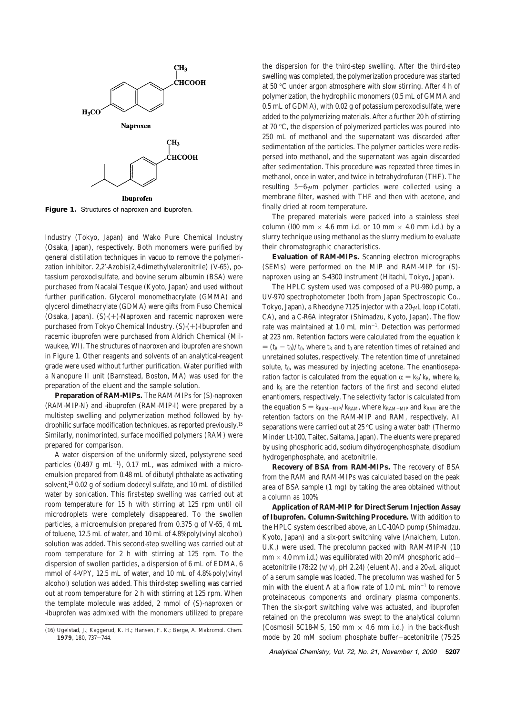

Figure 1. Structures of naproxen and ibuprofen.

Industry (Tokyo, Japan) and Wako Pure Chemical Industry (Osaka, Japan), respectively. Both monomers were purified by general distillation techniques in vacuo to remove the polymerization inhibitor. 2,2′-Azobis(2,4-dimethylvaleronitrile) (V-65), potassium peroxodisulfate, and bovine serum albumin (BSA) were purchased from Nacalai Tesque (Kyoto, Japan) and used without further purification. Glycerol monomethacrylate (GMMA) and glycerol dimethacrylate (GDMA) were gifts from Fuso Chemical (Osaka, Japan). (*S*)-(+)-Naproxen and racemic naproxen were purchased from Tokyo Chemical Industry. (*S*)-(+)-Ibuprofen and racemic ibuprofen were purchased from Aldrich Chemical (Milwaukee, WI). The structures of naproxen and ibuprofen are shown in Figure 1. Other reagents and solvents of an analytical-reagent grade were used without further purification. Water purified with a Nanopure II unit (Barnstead, Boston, MA) was used for the preparation of the eluent and the sample solution.

**Preparation of RAM-MIPs.** The RAM-MIPs for (*S*)-naproxen (RAM-MIP-N) and -ibuprofen (RAM-MIP-I) were prepared by a multistep swelling and polymerization method followed by hydrophilic surface modification techniques, as reported previously.15 Similarly, nonimprinted, surface modified polymers (RAM) were prepared for comparison.

A water dispersion of the uniformly sized, polystyrene seed particles  $(0.497 \text{ g } mL^{-1})$ , 0.17 mL, was admixed with a microemulsion prepared from 0.48 mL of dibutyl phthalate as activating solvent,<sup>16</sup> 0.02 g of sodium dodecyl sulfate, and 10 mL of distilled water by sonication. This first-step swelling was carried out at room temperature for 15 h with stirring at 125 rpm until oil microdroplets were completely disappeared. To the swollen particles, a microemulsion prepared from 0.375 g of V-65, 4 mL of toluene, 12.5 mL of water, and 10 mL of 4.8% poly(vinyl alcohol) solution was added. This second-step swelling was carried out at room temperature for 2 h with stirring at 125 rpm. To the dispersion of swollen particles, a dispersion of 6 mL of EDMA, 6 mmol of 4-VPY, 12.5 mL of water, and 10 mL of 4.8% poly(vinyl alcohol) solution was added. This third-step swelling was carried out at room temperature for 2 h with stirring at 125 rpm. When the template molecule was added, 2 mmol of (*S*)-naproxen or -ibuprofen was admixed with the monomers utilized to prepare

the dispersion for the third-step swelling. After the third-step swelling was completed, the polymerization procedure was started at 50 °C under argon atmosphere with slow stirring. After 4 h of polymerization, the hydrophilic monomers (0.5 mL of GMMA and 0.5 mL of GDMA), with 0.02 g of potassium peroxodisulfate, were added to the polymerizing materials. After a further 20 h of stirring at 70 °C, the dispersion of polymerized particles was poured into 250 mL of methanol and the supernatant was discarded after sedimentation of the particles. The polymer particles were redispersed into methanol, and the supernatant was again discarded after sedimentation. This procedure was repeated three times in methanol, once in water, and twice in tetrahydrofuran (THF). The resulting  $5-6\mu m$  polymer particles were collected using a membrane filter, washed with THF and then with acetone, and finally dried at room temperature.

The prepared materials were packed into a stainless steel column (l00 mm  $\times$  4.6 mm i.d. or 10 mm  $\times$  4.0 mm i.d.) by a slurry technique using methanol as the slurry medium to evaluate their chromatographic characteristics.

**Evaluation of RAM-MIPs.** Scanning electron micrographs (SEMs) were performed on the MIP and RAM-MIP for (*S*) naproxen using an S-4300 instrument (Hitachi, Tokyo, Japan).

The HPLC system used was composed of a PU-980 pump, a UV-970 spectrophotometer (both from Japan Spectroscopic Co., Tokyo, Japan), a Rheodyne 7125 injector with a 20-µL loop (Cotati, CA), and a C-R6A integrator (Shimadzu, Kyoto, Japan). The flow rate was maintained at 1.0 mL min-1. Detection was performed at 223 nm. Retention factors were calculated from the equation *k*  $=$   $(t<sub>R</sub> - t<sub>0</sub>)/t<sub>0</sub>$ , where  $t<sub>R</sub>$  and  $t<sub>0</sub>$  are retention times of retained and unretained solutes, respectively. The retention time of unretained solute,  $t_0$ , was measured by injecting acetone. The enantioseparation factor is calculated from the equation  $\alpha = k_S/k_B$ , where  $k_B$ and  $k<sub>S</sub>$  are the retention factors of the first and second eluted enantiomers, respectively. The selectivity factor is calculated from the equation  $S = k_{\text{RAM-MIP}}/k_{\text{RAM}}$ , where  $k_{\text{RAM-MIP}}$  and  $k_{\text{RAM}}$  are the retention factors on the RAM-MIP and RAM, respectively. All separations were carried out at  $25^{\circ}$ C using a water bath (Thermo Minder Lt-100, Taitec, Saitama, Japan). The eluents were prepared by using phosphoric acid, sodium dihydrogenphosphate, disodium hydrogenphosphate, and acetonitrile.

**Recovery of BSA from RAM-MIPs.** The recovery of BSA from the RAM and RAM-MIPs was calculated based on the peak area of BSA sample (1 mg) by taking the area obtained without a column as 100%.

**Application of RAM-MIP for Direct Serum Injection Assay of Ibuprofen. Column-Switching Procedure.** With addition to the HPLC system described above, an LC-10AD pump (Shimadzu, Kyoto, Japan) and a six-port switching valve (Analchem, Luton, U.K.) were used. The precolumn packed with RAM-MIP-N (10  $mm \times 4.0$  mm i.d.) was equilibrated with 20 mM phosphoric acidacetonitrile (78:22 (v/v), pH 2.24) (eluent A), and a  $20-\mu$ L aliquot of a serum sample was loaded. The precolumn was washed for 5 min with the eluent A at a flow rate of  $1.0$  mL min<sup>-1</sup> to remove proteinaceous components and ordinary plasma components. Then the six-port switching valve was actuated, and ibuprofen retained on the precolumn was swept to the analytical column (Cosmosil 5C18-MS, 150 mm  $\times$  4.6 mm i.d.) in the back-flush mode by 20 mM sodium phosphate buffer-acetonitrile (75:25

<sup>(16)</sup> Ugelstad, J.; Kaggerud, K. H.; Hansen, F. K.; Berge, A. *Makromol. Chem.* **1979**, *180*, 737-744.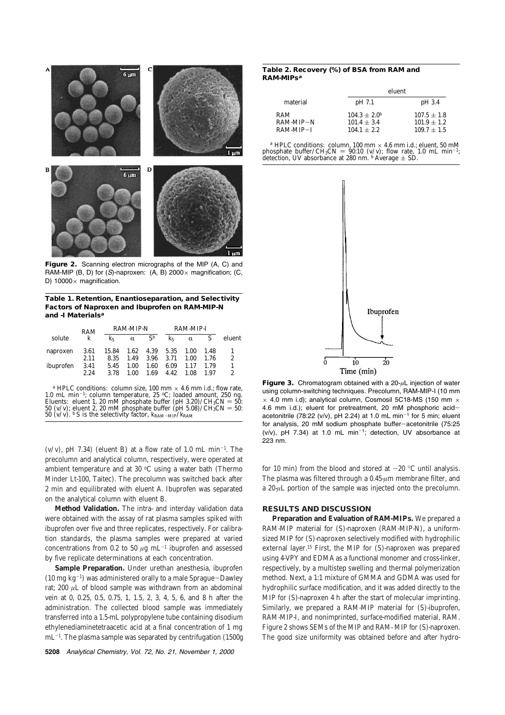

**Figure 2.** Scanning electron micrographs of the MIP (A, C) and RAM-MIP (B, D) for (S)-naproxen: (A, B) 2000 $\times$  magnification; (C, D) 10000 $\times$  magnification.

**Table 1. Retention, Enantioseparation, and Selectivity Factors of Naproxen and Ibuprofen on RAM-MIP-N and -I Materials<sup>a</sup>**

| solute    | <b>RAM</b> | <b>RAM-MIP-N</b> |      |       | <b>RAM-MIP-I</b> |          |      |                  |
|-----------|------------|------------------|------|-------|------------------|----------|------|------------------|
|           |            | ks               | α    | $S^b$ | $k_{S}$          | $\alpha$ |      | eluent           |
| naproxen  | 3.61       | 15.84            | 1.62 | 4.39  | 5.35             | 1.00     | 1.48 |                  |
|           | 2.11       | 8.35             | 1.49 | 3.96  | 3.71             | 1.00     | 1.76 | $\boldsymbol{2}$ |
| ibuprofen | 3.41       | 5.45             | 1.00 | 1.60  | 6.09             | 1.17     | 1.79 |                  |
|           | 2.24       | 3.78             | 1.00 | 1.69  | 4.42             | 1.08     | 1.97 | 2                |

*a* HPLC conditions: column size, 100 mm  $\times$  4.6 mm i.d.; flow rate, 1.0 mL min-1; column temperature, 25 *<sup>o</sup>*C; loaded amount, 250 ng. Eluents: eluent 1, 20 mM phosphate buffer (pH 3.20)/CH<sub>3</sub>CN = 50: 50 (v/v); eluent 2, 20 mM phosphate buffer (pH 5.08)/CH<sub>3</sub>CN = 50:<br>50 (v/v). <sup>*b</sup> S* is the selectivity factor, *k*<sub>RAM-MIP</sub>/*k*<sub>RAM</sub></sup>

 $(v/v)$ , pH 7.34) (eluent B) at a flow rate of 1.0 mL min<sup>-1</sup>. The precolumn and analytical column, respectively, were operated at ambient temperature and at 30  $\mathrm{^{\circ}C}$  using a water bath (Thermo Minder Lt-100, Taitec). The precolumn was switched back after 2 min and equilibrated with eluent A. Ibuprofen was separated on the analytical column with eluent B.

**Method Validation.** The intra- and interday validation data were obtained with the assay of rat plasma samples spiked with ibuprofen over five and three replicates, respectively. For calibration standards, the plasma samples were prepared at varied concentrations from 0.2 to 50  $\mu$ g mL<sup>-1</sup> ibuprofen and assessed by five replicate determinations at each concentration.

**Sample Preparation.** Under urethan anesthesia, ibuprofen  $(10 \text{ mg kg}^{-1})$  was administered orally to a male Sprague-Dawley rat; 200  $\mu$ L of blood sample was withdrawn from an abdominal vein at 0, 0.25, 0.5, 0.75, 1, 1.5, 2, 3, 4, 5, 6, and 8 h after the administration. The collected blood sample was immediately transferred into a 1.5-mL polypropylene tube containing disodium ethylenediaminetetraacetic acid at a final concentration of 1 mg mL-1. The plasma sample was separated by centrifugation (1500*g*

**5208** Analytical Chemistry, Vol. 72, No. 21, November 1, 2000

#### **Table 2. Recovery (%) of BSA from RAM and RAM-MIPs<sup>a</sup>**

|                                          | eluent                                           |                                                 |
|------------------------------------------|--------------------------------------------------|-------------------------------------------------|
| material                                 | pH 7.1                                           | pH 3.4                                          |
| <b>RAM</b><br>$RAM-MIP-N$<br>$RAM-MIP-I$ | $104.3 + 2.0b$<br>$101.4 + 3.4$<br>$104.1 + 2.2$ | $107.5 + 1.8$<br>$101.9 + 1.2$<br>$109.7 + 1.5$ |

*a* HPLC conditions: column,  $100 \text{ mm} \times 4.6 \text{ mm}$  i.d.; eluent,  $50 \text{ mm}$ phosphate buffer/CH<sub>3</sub>CN =  $90:10$  (v/v); flow rate, 1.0 mL min<sup>-1</sup>; detection, UV absorbance at 280 nm. *b* Average  $\pm$  SD.



**Figure 3.** Chromatogram obtained with a  $20-\mu$ L injection of water using column-switching techniques. Precolumn, RAM-MIP-I (10 mm  $\times$  4.0 mm i.d); analytical column, Cosmosil 5C18-MS (150 mm  $\times$ 4.6 mm i.d.); eluent for pretreatment, 20 mM phosphoric acidacetonitrile (78:22 (v/v), pH 2.24) at 1.0 mL min<sup>-1</sup> for 5 min; eluent for analysis, 20 mM sodium phosphate buffer-acetonitrile (75:25 ( $v/v$ ), pH 7.34) at 1.0 mL min<sup>-1</sup>; detection, UV absorbance at 223 nm.

for 10 min) from the blood and stored at  $-20$  °C until analysis. The plasma was filtered through a  $0.45 \mu m$  membrane filter, and a  $20-\mu L$  portion of the sample was injected onto the precolumn.

# **RESULTS AND DISCUSSION**

**Preparation and Evaluation of RAM-MIPs.** We prepared a RAM-MIP material for (*S*)-naproxen (RAM-MIP-N), a uniformsized MIP for (*S*)-naproxen selectively modified with hydrophilic external layer.15 First, the MIP for (*S*)-naproxen was prepared using 4-VPY and EDMA as a functional monomer and cross-linker, respectively, by a multistep swelling and thermal polymerization method. Next, a 1:1 mixture of GMMA and GDMA was used for hydrophilic surface modification, and it was added directly to the MIP for (*S*)-naproxen 4 h after the start of molecular imprinting. Similarly, we prepared a RAM-MIP material for (*S*)-ibuprofen, RAM-MIP-I, and nonimprinted, surface-modified material, RAM. Figure 2 shows SEMs of the MIP and RAM- MIP for (*S*)-naproxen. The good size uniformity was obtained before and after hydro-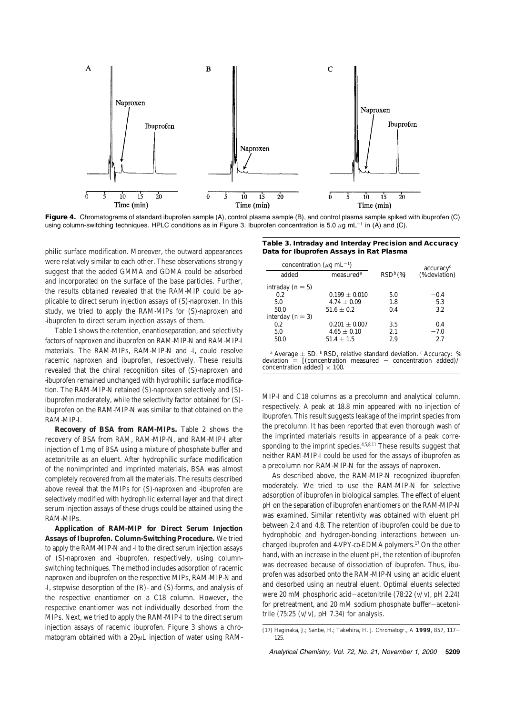

**Figure 4.** Chromatograms of standard ibuprofen sample (A), control plasma sample (B), and control plasma sample spiked with ibuprofen (C) using column-switching techniques. HPLC conditions as in Figure 3. Ibuprofen concentration is 5.0  $\mu$ g mL<sup>-1</sup> in (A) and (C).

philic surface modification. Moreover, the outward appearances were relatively similar to each other. These observations strongly suggest that the added GMMA and GDMA could be adsorbed and incorporated on the surface of the base particles. Further, the results obtained revealed that the RAM-MIP could be applicable to direct serum injection assays of (*S*)-naproxen. In this study, we tried to apply the RAM-MIPs for (*S*)-naproxen and -ibuprofen to direct serum injection assays of them.

Table 1 shows the retention, enantioseparation, and selectivity factors of naproxen and ibuprofen on RAM-MIP-N and RAM-MIP-I materials. The RAM-MIPs, RAM-MIP-N and -I, could resolve racemic naproxen and ibuprofen, respectively. These results revealed that the chiral recognition sites of (*S*)-naproxen and -ibuprofen remained unchanged with hydrophilic surface modification. The RAM-MIP-N retained (*S*)-naproxen selectively and (*S*) ibuprofen moderately, while the selectivity factor obtained for (*S*) ibuprofen on the RAM-MIP-N was similar to that obtained on the RAM-MIP-I.

**Recovery of BSA from RAM-MIPs.** Table 2 shows the recovery of BSA from RAM, RAM-MIP-N, and RAM-MIP-I after injection of 1 mg of BSA using a mixture of phosphate buffer and acetonitrile as an eluent. After hydrophilic surface modification of the nonimprinted and imprinted materials, BSA was almost completely recovered from all the materials. The results described above reveal that the MIPs for (*S*)-naproxen and -ibuprofen are selectively modified with hydrophilic external layer and that direct serum injection assays of these drugs could be attained using the RAM-MIPs.

**Application of RAM-MIP for Direct Serum Injection Assays of Ibuprofen. Column-Switching Procedure.** We tried to apply the RAM-MIP-N and -I to the direct serum injection assays of (*S*)-naproxen and -ibuprofen, respectively, using columnswitching techniques. The method includes adsorption of racemic naproxen and ibuprofen on the respective MIPs, RAM-MIP-N and -I, stepwise desorption of the (*R*)- and (*S*)-forms, and analysis of the respective enantiomer on a C18 column. However, the respective enantiomer was not individually desorbed from the MIPs. Next, we tried to apply the RAM-MIP-I to the direct serum injection assays of racemic ibuprofen. Figure 3 shows a chromatogram obtained with a  $20-\mu L$  injection of water using RAM-

| Table 3. Intraday and Interday Precision and Accuracy |
|-------------------------------------------------------|
| Data for Ibuprofen Assays in Rat Plasma               |

|                                | concentration ( $\mu$ g mL <sup>-1</sup> ) |                      | accuracy <sup>c</sup> |
|--------------------------------|--------------------------------------------|----------------------|-----------------------|
| added<br>measured <sup>a</sup> |                                            | RSD <sup>b</sup> (%) | (% deviation)         |
| intraday $(n=5)$               |                                            |                      |                       |
| 0.2                            | $0.199 + 0.010$                            | 5.0                  | $-0.4$                |
| 5.0                            | $4.74 \pm 0.09$                            | 1.8                  | $-5.3$                |
| 50.0                           | $51.6 + 0.2$                               | 0.4                  | 3.2                   |
| interday $(n=3)$               |                                            |                      |                       |
| 0.2                            | $0.201 \pm 0.007$                          | 3.5                  | 0.4                   |
| 5.0                            | $4.65 \pm 0.10$                            | 2.1                  | $-7.0$                |
| 50.0                           | $51.4 + 1.5$                               | 2.9                  | 2.7                   |

*a* Average  $\pm$  SD. *b* RSD, relative standard deviation. *c* Accuracy: *deviation* = 1(concentration measured – concentration addex  $\lceil$ (concentration measured - concentration added)/ concentration added]  $\times$  100.

MIP-I and C18 columns as a precolumn and analytical column, respectively. A peak at 18.8 min appeared with no injection of ibuprofen. This result suggests leakage of the imprint species from the precolumn. It has been reported that even thorough wash of the imprinted materials results in appearance of a peak corresponding to the imprint species.4,5,8,11 These results suggest that neither RAM-MIP-I could be used for the assays of ibuprofen as a precolumn nor RAM-MIP-N for the assays of naproxen.

As described above, the RAM-MIP-N recognized ibuprofen moderately. We tried to use the RAM-MIP-N for selective adsorption of ibuprofen in biological samples. The effect of eluent pH on the separation of ibuprofen enantiomers on the RAM-MIP-N was examined. Similar retentivity was obtained with eluent pH between 2.4 and 4.8. The retention of ibuprofen could be due to hydrophobic and hydrogen-bonding interactions between uncharged ibuprofen and 4-VPY-*co*-EDMA polymers.17 On the other hand, with an increase in the eluent pH, the retention of ibuprofen was decreased because of dissociation of ibuprofen. Thus, ibuprofen was adsorbed onto the RAM-MIP-N using an acidic eluent and desorbed using an neutral eluent. Optimal eluents selected were 20 mM phosphoric acid-acetonitrile (78:22 (v/v), pH 2.24) for pretreatment, and 20 mM sodium phosphate buffer-acetonitrile (75:25 (v/v), pH 7.34) for analysis.

Analytical Chemistry, Vol. 72, No. 21, November 1, 2000 **5209**

<sup>(17)</sup> Haginaka, J.; Sanbe, H.; Takehira, H. *J. Chromatogr., A* **1999**, *857*, 117- 125.